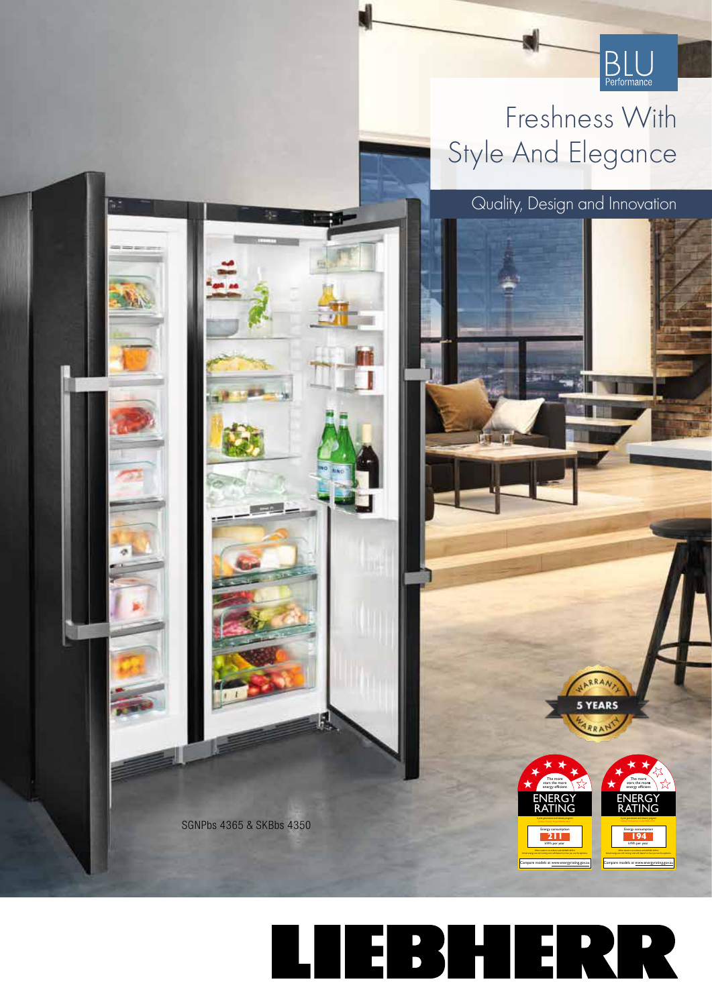

**ENERGY** RATING

ENERGY RATING

*A joint government and industry program* Energy consumption **211** kWh per year Actual energy use and running costs will depend on how you use the appliance. Compare models at www.energyrating.gov.au

The more stars the more energy efficient

> *A joint government and industry program* Energy consumption **194** kWh per year Actual energy use and running costs will depend on how you use the appliance. Compare models at www.energyrating.gov.au

The more stars the more energy efficien

5 YEARS

## Freshness With Style And Elegance

Quality, Design and Innovation

LIEBHERR

SGNPbs 4365 & SKBbs 4350